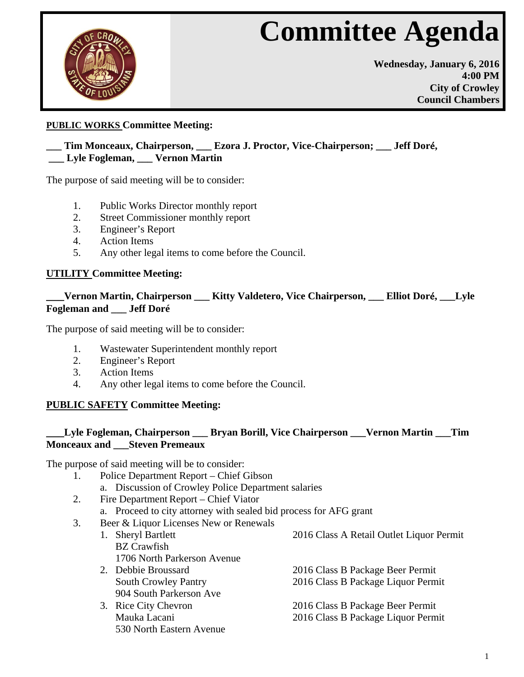# **Committee Agenda**



**Wednesday, January 6, 2016 4:00 PM City of Crowley Council Chambers**

# **PUBLIC WORKS Committee Meeting:**

## **\_\_\_ Tim Monceaux, Chairperson, \_\_\_ Ezora J. Proctor, Vice-Chairperson; \_\_\_ Jeff Dor**é**, \_\_\_ Lyle Fogleman, \_\_\_ Vernon Martin**

The purpose of said meeting will be to consider:

- 1. Public Works Director monthly report
- 2. Street Commissioner monthly report
- 3. Engineer's Report
- 4. Action Items
- 5. Any other legal items to come before the Council.

## **UTILITY Committee Meeting:**

# **\_\_\_Vernon Martin, Chairperson \_\_\_ Kitty Valdetero, Vice Chairperson, \_\_\_ Elliot Dor**é**, \_\_\_Lyle Fogleman and \_\_\_ Jeff Doré**

The purpose of said meeting will be to consider:

- 1. Wastewater Superintendent monthly report
- 2. Engineer's Report
- 3. Action Items
- 4. Any other legal items to come before the Council.

## **PUBLIC SAFETY Committee Meeting:**

## **\_\_\_Lyle Fogleman, Chairperson \_\_\_ Bryan Borill, Vice Chairperson \_\_\_Vernon Martin \_\_\_Tim Monceaux and \_\_\_Steven Premeaux**

The purpose of said meeting will be to consider:

- 1. Police Department Report Chief Gibson
	- a. Discussion of Crowley Police Department salaries
- 2. Fire Department Report Chief Viator
	- a. Proceed to city attorney with sealed bid process for AFG grant
- 3. Beer & Liquor Licenses New or Renewals
	- 1. Sheryl Bartlett 2016 Class A Retail Outlet Liquor Permit BZ Crawfish 1706 North Parkerson Avenue
		- 904 South Parkerson Ave
		- 530 North Eastern Avenue
- 
- 2. Debbie Broussard 2016 Class B Package Beer Permit South Crowley Pantry 2016 Class B Package Liquor Permit
- 3. Rice City Chevron 2016 Class B Package Beer Permit Mauka Lacani 2016 Class B Package Liquor Permit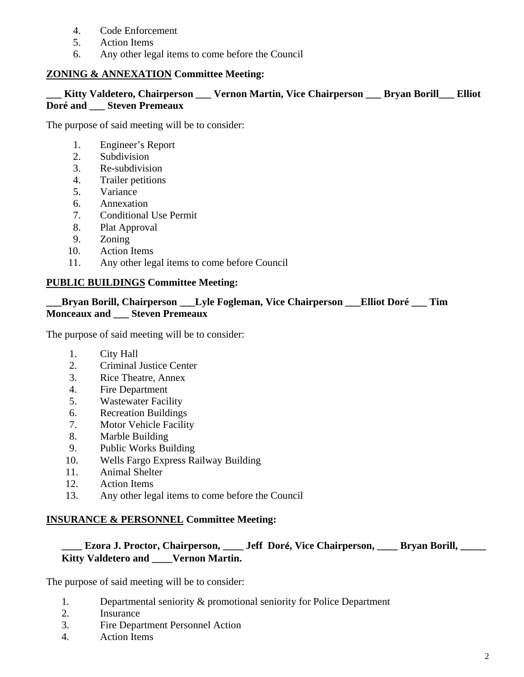- 4. Code Enforcement
- 5. Action Items
- 6. Any other legal items to come before the Council

# **ZONING & ANNEXATION Committee Meeting:**

## **\_\_\_ Kitty Valdetero, Chairperson \_\_\_ Vernon Martin, Vice Chairperson \_\_\_ Bryan Borill\_\_\_ Elliot Doré and \_\_\_ Steven Premeaux**

The purpose of said meeting will be to consider:

- 1. Engineer's Report
- 2. Subdivision
- 3. Re-subdivision
- 4. Trailer petitions
- 5. Variance
- 6. Annexation
- 7. Conditional Use Permit
- 8. Plat Approval
- 9. Zoning
- 10. Action Items
- 11. Any other legal items to come before Council

## **PUBLIC BUILDINGS Committee Meeting:**

## **\_\_\_Bryan Borill, Chairperson \_\_\_Lyle Fogleman, Vice Chairperson \_\_\_Elliot Doré \_\_\_ Tim Monceaux and \_\_\_ Steven Premeaux**

The purpose of said meeting will be to consider:

- 1. City Hall
- 2. Criminal Justice Center
- 3. Rice Theatre, Annex
- 4. Fire Department
- 5. Wastewater Facility
- 6. Recreation Buildings
- 7. Motor Vehicle Facility
- 8. Marble Building
- 9. Public Works Building
- 10. Wells Fargo Express Railway Building
- 11. Animal Shelter
- 12. Action Items
- 13. Any other legal items to come before the Council

## **INSURANCE & PERSONNEL Committee Meeting:**

# **\_\_\_\_ Ezora J. Proctor, Chairperson, \_\_\_\_ Jeff Dor**é**, Vice Chairperson, \_\_\_\_ Bryan Borill, \_\_\_\_\_ Kitty Valdetero and \_\_\_\_Vernon Martin.**

The purpose of said meeting will be to consider:

- 1. Departmental seniority & promotional seniority for Police Department
- 2. Insurance
- 3. Fire Department Personnel Action
- 4. Action Items